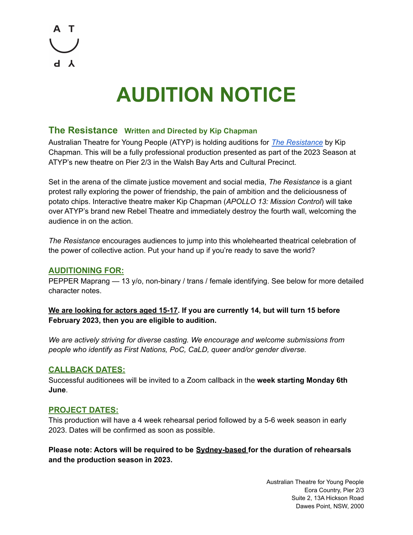

# **AUDITION NOTICE**

## **The Resistance Written and Directed by Kip Chapman**

Australian Theatre for Young People (ATYP) is holding auditions for *The [Resistance](https://atyp.com.au/ATYP-productions/the-resistance/)* by Kip Chapman. This will be a fully professional production presented as part of the 2023 Season at ATYP's new theatre on Pier 2/3 in the Walsh Bay Arts and Cultural Precinct.

Set in the arena of the climate justice movement and social media, *The Resistance* is a giant protest rally exploring the power of friendship, the pain of ambition and the deliciousness of potato chips. Interactive theatre maker Kip Chapman (*APOLLO 13: Mission Control*) will take over ATYP's brand new Rebel Theatre and immediately destroy the fourth wall, welcoming the audience in on the action.

*The Resistance* encourages audiences to jump into this wholehearted theatrical celebration of the power of collective action. Put your hand up if you're ready to save the world?

#### **AUDITIONING FOR:**

PEPPER Maprang — 13 y/o, non-binary / trans / female identifying. See below for more detailed character notes.

#### **We are looking for actors aged 15-17. If you are currently 14, but will turn 15 before February 2023, then you are eligible to audition.**

*We are actively striving for diverse casting. We encourage and welcome submissions from people who identify as First Nations, PoC, CaLD, queer and/or gender diverse.*

#### **CALLBACK DATES:**

Successful auditionees will be invited to a Zoom callback in the **week starting Monday 6th June**.

#### **PROJECT DATES:**

This production will have a 4 week rehearsal period followed by a 5-6 week season in early 2023. Dates will be confirmed as soon as possible.

**Please note: Actors will be required to be Sydney-based for the duration of rehearsals and the production season in 2023.**

> Australian Theatre for Young People Eora Country, Pier 2/3 Suite 2, 13A Hickson Road Dawes Point, NSW, 2000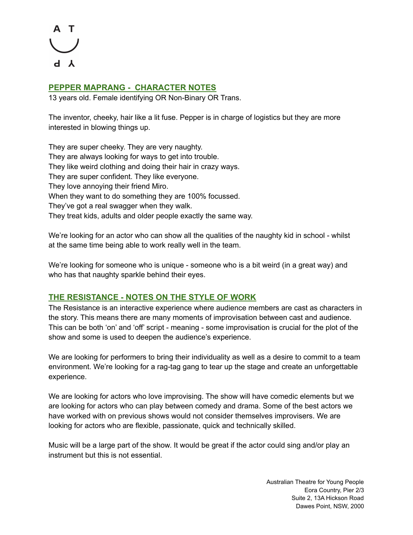

#### **PEPPER MAPRANG - CHARACTER NOTES**

13 years old. Female identifying OR Non-Binary OR Trans.

The inventor, cheeky, hair like a lit fuse. Pepper is in charge of logistics but they are more interested in blowing things up.

They are super cheeky. They are very naughty. They are always looking for ways to get into trouble. They like weird clothing and doing their hair in crazy ways. They are super confident. They like everyone. They love annoying their friend Miro. When they want to do something they are 100% focussed. They've got a real swagger when they walk. They treat kids, adults and older people exactly the same way.

We're looking for an actor who can show all the qualities of the naughty kid in school - whilst at the same time being able to work really well in the team.

We're looking for someone who is unique - someone who is a bit weird (in a great way) and who has that naughty sparkle behind their eyes.

#### **THE RESISTANCE - NOTES ON THE STYLE OF WORK**

The Resistance is an interactive experience where audience members are cast as characters in the story. This means there are many moments of improvisation between cast and audience. This can be both 'on' and 'off' script - meaning - some improvisation is crucial for the plot of the show and some is used to deepen the audience's experience.

We are looking for performers to bring their individuality as well as a desire to commit to a team environment. We're looking for a rag-tag gang to tear up the stage and create an unforgettable experience.

We are looking for actors who love improvising. The show will have comedic elements but we are looking for actors who can play between comedy and drama. Some of the best actors we have worked with on previous shows would not consider themselves improvisers. We are looking for actors who are flexible, passionate, quick and technically skilled.

Music will be a large part of the show. It would be great if the actor could sing and/or play an instrument but this is not essential.